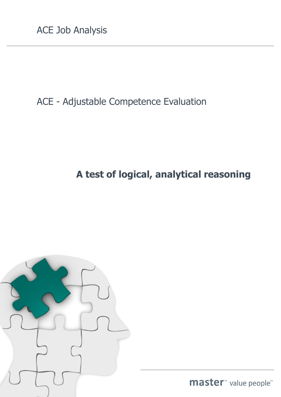## ACE - Adjustable Competence Evaluation

# **A test of logical, analytical reasoning**



**master**<sup>™</sup> value people<sup>™</sup>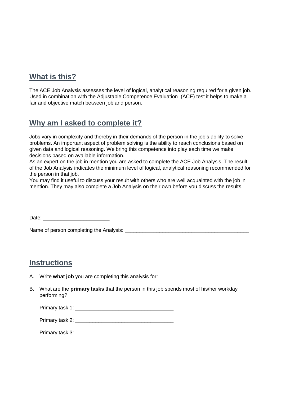### **What is this?**

The ACE Job Analysis assesses the level of logical, analytical reasoning required for a given job. Used in combination with the Adjustable Competence Evaluation (ACE) test it helps to make a fair and objective match between job and person.

#### **Why am I asked to complete it?**

Jobs vary in complexity and thereby in their demands of the person in the job's ability to solve problems. An important aspect of problem solving is the ability to reach conclusions based on given data and logical reasoning. We bring this competence into play each time we make decisions based on available information.

As an expert on the job in mention you are asked to complete the ACE Job Analysis. The result of the Job Analysis indicates the minimum level of logical, analytical reasoning recommended for the person in that job.

You may find it useful to discuss your result with others who are well acquainted with the job in mention. They may also complete a Job Analysis on their own before you discuss the results.

Date: \_\_\_\_\_\_\_\_\_\_\_\_\_\_\_\_\_\_\_\_\_\_\_

Name of person completing the Analysis: \_\_\_\_\_\_\_\_\_\_\_\_\_\_\_\_\_\_\_\_\_\_\_\_\_\_\_\_\_\_\_\_\_\_\_\_\_\_\_\_\_\_\_

#### **Instructions**

- A. Write **what job** you are completing this analysis for:
- B. What are the **primary tasks** that the person in this job spends most of his/her workday performing?

| Primary task 1: |  |
|-----------------|--|
|                 |  |

Primary task 2: \_\_\_\_\_\_\_\_\_\_\_\_\_\_\_\_\_\_\_\_\_\_\_\_\_\_\_\_\_\_\_\_\_\_

Primary task 3: **Example 20** Figures 1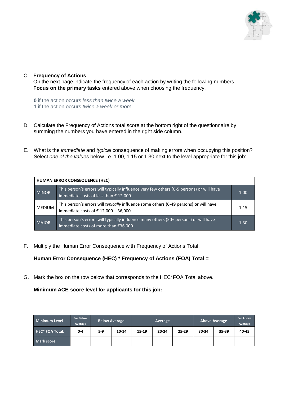

#### C. **Frequency of Actions**

On the next page indicate the frequency of each action by writing the following numbers. **Focus on the primary tasks** entered above when choosing the frequency.

**0** if the action occurs *less than twice a week* **1** if the action occurs *twice a week or more*

- D. Calculate the Frequency of Actions total score at the bottom right of the questionnaire by summing the numbers you have entered in the right side column.
- E. What is the *immediate* and *typical* consequence of making errors when occupying this position? Select *one of the values* below i.e. 1.00, 1.15 or 1.30 next to the level appropriate for this job:

| HUMAN ERROR CONSEQUENCE (HEC) |                                                                                                                                             |      |  |  |  |
|-------------------------------|---------------------------------------------------------------------------------------------------------------------------------------------|------|--|--|--|
| <b>MINOR</b>                  | This person's errors will typically influence very few others (0-5 persons) or will have<br>immediate costs of less than $\epsilon$ 12,000. | 1.00 |  |  |  |
| <b>MEDIUM</b>                 | This person's errors will typically influence some others (6-49 persons) or will have<br>immediate costs of € 12,000 - 36,000.              | 1.15 |  |  |  |
| <b>MAJOR</b>                  | This person's errors will typically influence many others (50+ persons) or will have<br>immediate costs of more than €36,000                | 1.30 |  |  |  |

F. Multiply the Human Error Consequence with Frequency of Actions Total:

**Human Error Consequence (HEC) \* Frequency of Actions (FOA) Total =** \_\_\_\_\_\_\_\_\_\_\_

G. Mark the box on the row below that corresponds to the HEC\*FOA Total above.

**Minimum ACE score level for applicants for this job:**

| Minimum Level          | <b>Far Below</b><br>Average | <b>Below Average</b> |       | Average |       |         | <b>Above Average</b> |       | <b>Far Above</b><br>Average |
|------------------------|-----------------------------|----------------------|-------|---------|-------|---------|----------------------|-------|-----------------------------|
| <b>HEC* FOA Total:</b> | 0-4                         | 5-9                  | 10-14 | 15-19   | 20-24 | $25-29$ | 30-34                | 35-39 | 40-45                       |
| <b>Mark score</b>      |                             |                      |       |         |       |         |                      |       |                             |